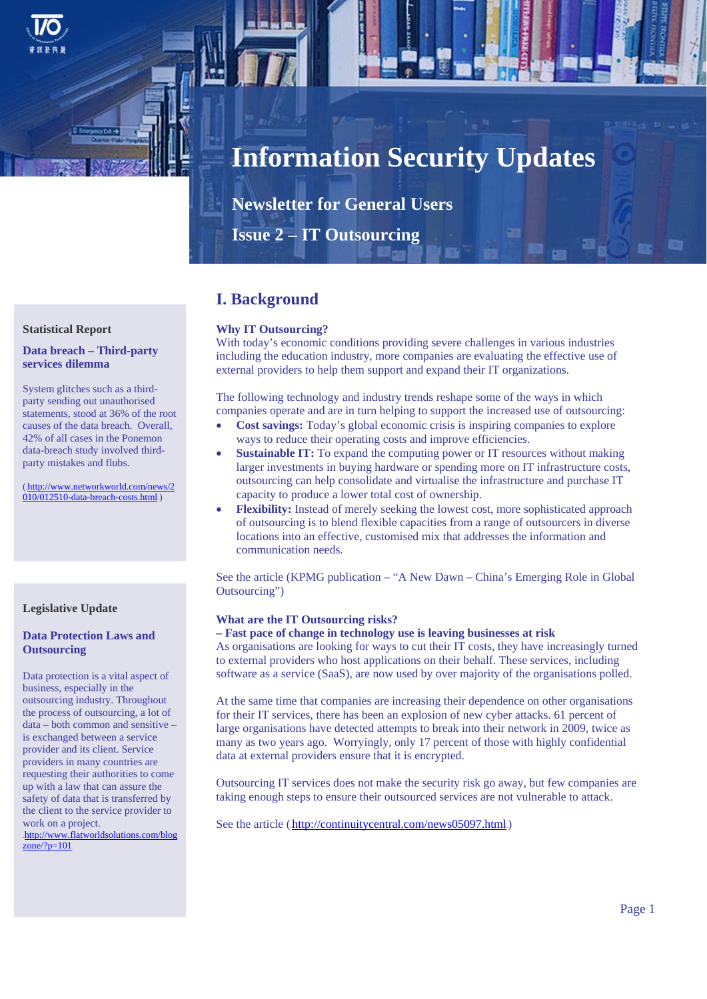

# **Information Security Updates**

**Newsletter for General Users** 

**Issue 2 – IT Outsourcing** 

# **I. Background**

## **Why IT Outsourcing?**

With today's economic conditions providing severe challenges in various industries including the education industry, more companies are evaluating the effective use of external providers to help them support and expand their IT organizations.

The following technology and industry trends reshape some of the ways in which companies operate and are in turn helping to support the increased use of outsourcing:

- **Cost savings:** Today's global economic crisis is inspiring companies to explore ways to reduce their operating costs and improve efficiencies.
- **Sustainable IT:** To expand the computing power or IT resources without making larger investments in buying hardware or spending more on IT infrastructure costs, outsourcing can help consolidate and virtualise the infrastructure and purchase IT capacity to produce a lower total cost of ownership.
- **Flexibility:** Instead of merely seeking the lowest cost, more sophisticated approach of outsourcing is to blend flexible capacities from a range of outsourcers in diverse locations into an effective, customised mix that addresses the information and communication needs.

See the article (KPMG publication – "A New Dawn – China's Emerging Role in Global Outsourcing")

#### **What are the IT Outsourcing risks?**

#### **– Fast pace of change in technology use is leaving businesses at risk**

As organisations are looking for ways to cut their IT costs, they have increasingly turned to external providers who host applications on their behalf. These services, including software as a service (SaaS), are now used by over majority of the organisations polled.

At the same time that companies are increasing their dependence on other organisations for their IT services, there has been an explosion of new cyber attacks. 61 percent of large organisations have detected attempts to break into their network in 2009, twice as many as two years ago. Worryingly, only 17 percent of those with highly confidential data at external providers ensure that it is encrypted.

Outsourcing IT services does not make the security risk go away, but few companies are taking enough steps to ensure their outsourced services are not vulnerable to attack.

See the article (http://continuitycentral.com/news05097.html)

## **Statistical Report**

#### **Data breach – Third-party services dilemma**

System glitches such as a thirdparty sending out unauthorised statements, stood at 36% of the root causes of the data breach. Overall, 42% of all cases in the Ponemon data-breach study involved thirdparty mistakes and flubs.

(.http://www.networkworld.com/news/2)  $010/012510$ -data-breach-costs.html.)

## **Legislative Update**

## **Outsourcing Data Protection Laws and**

Data protection is a vital aspect of business, especially in the outsourcing industry. Throughout the process of outsourcing, a lot of data – both common and sensitive – is exchanged between a service provider and its client. Service providers in many countries are requesting their authorities to come up with a law that can assure the safety of data that is transferred by the client to the service provider to work on a project.

.http://www.flatworldsolutions.com/blog  $zone$ ?p=101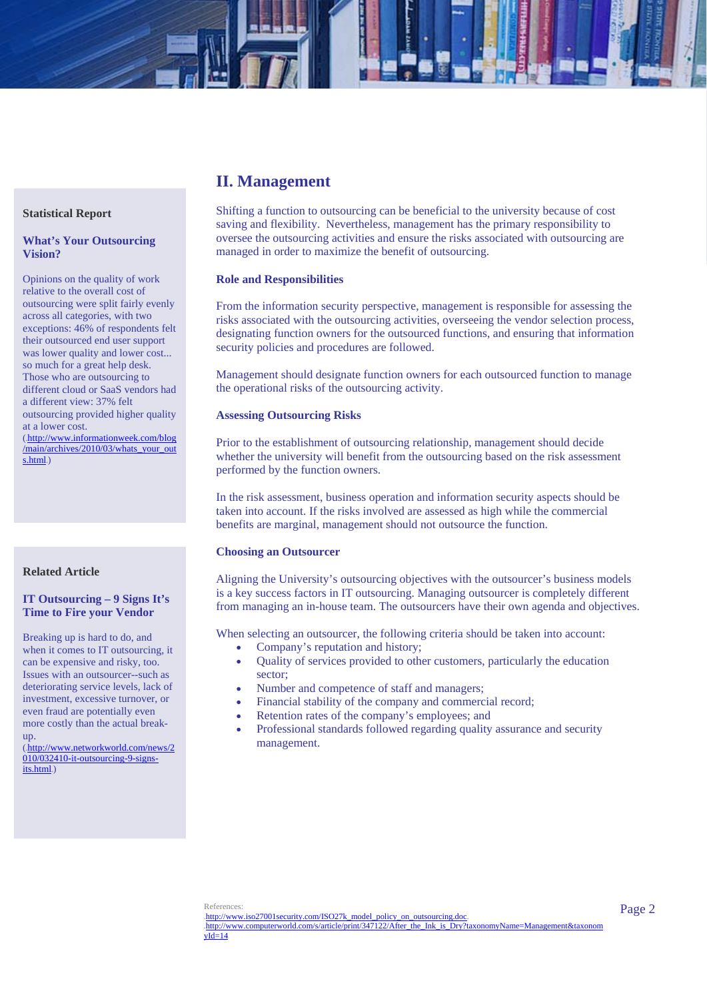# **II. Management**

Shifting a function to outsourcing can be beneficial to the university because of cost saving and flexibility. Nevertheless, management has the primary responsibility to oversee the outsourcing activities and ensure the risks associated with outsourcing are managed in order to maximize the benefit of outsourcing.

#### **Role and Responsibilities**

From the information security perspective, management is responsible for assessing the risks associated with the outsourcing activities, overseeing the vendor selection process, designating function owners for the outsourced functions, and ensuring that information security policies and procedures are followed.

Management should designate function owners for each outsourced function to manage the operational risks of the outsourcing activity.

#### **Assessing Outsourcing Risks**

Prior to the establishment of outsourcing relationship, management should decide whether the university will benefit from the outsourcing based on the risk assessment performed by the function owners.

In the risk assessment, business operation and information security aspects should be taken into account. If the risks involved are assessed as high while the commercial benefits are marginal, management should not outsource the function.

#### **Choosing an Outsourcer**

Aligning the University's outsourcing objectives with the outsourcer's business models is a key success factors in IT outsourcing. Managing outsourcer is completely different from managing an in-house team. The outsourcers have their own agenda and objectives.

When selecting an outsourcer, the following criteria should be taken into account:

- Company's reputation and history;
- Quality of services provided to other customers, particularly the education sector;
- Number and competence of staff and managers;
- Financial stability of the company and commercial record;
- Retention rates of the company's employees; and
- Professional standards followed regarding quality assurance and security management.

#### **Statistical Report**

#### **What's Your Outsourcing Vision?**

Opinions on the quality of work relative to the overall cost of outsourcing were split fairly evenly across all categories, with two exceptions: 46% of respondents felt their outsourced end user support was lower quality and lower cost... so much for a great help desk. Those who are outsourcing to different cloud or SaaS vendors had a different view: 37% felt outsourcing provided higher quality at a lower cost.

(.http://www.informationweek.com/blog /main/archives/2010/03/whats\_your\_out s.html.)

#### **Related Article**

#### **IT Outsourcing – 9 Signs It's Time to Fire your Vendor**

Breaking up is hard to do, and when it comes to IT outsourcing, it can be expensive and risky, too. Issues with an outsourcer--such as deteriorating service levels, lack of investment, excessive turnover, or even fraud are potentially even more costly than the actual breakup.

(.http://www.networkworld.com/news/2 010/032410-it-outsourcing-9-signsits.html)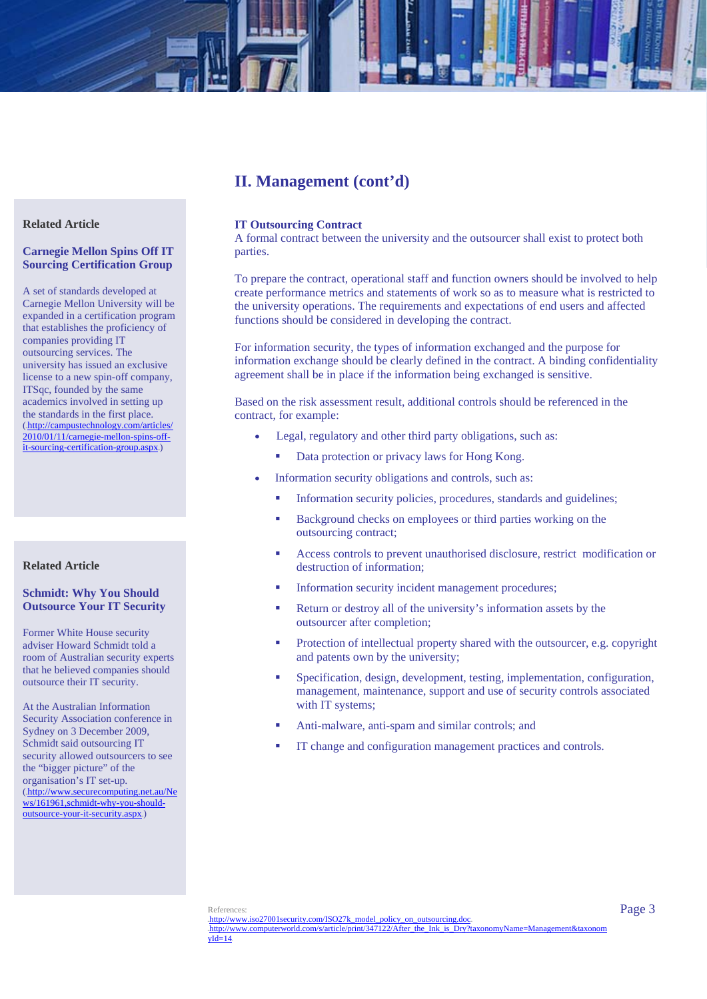# **II. Management (cont'd)**

#### **Related Article**

#### **Carnegie Mellon Spins Off IT Sourcing Certification Group**

A set of standards developed at Carnegie Mellon University will be expanded in a certification program that establishes the proficiency of companies providing IT outsourcing services. The university has issued an exclusive license to a new spin-off company, ITSqc, founded by the same academics involved in setting up the standards in the first place. (.http://campustechnology.com/articles/ 2010/01/11/carnegie-mellon-spins-offit-sourcing-certification-group.aspx.)

## **Related Article**

#### **Schmidt: Why You Should Outsource Your IT Security**

Former White House security adviser Howard Schmidt told a room of Australian security experts that he believed companies should outsource their IT security.

At the Australian Information Security Association conference in Sydney on 3 December 2009, Schmidt said outsourcing IT security allowed outsourcers to see the "bigger picture" of the organisation's IT set-up. (.http://www.securecomputing.net.au/Ne ws/161961,schmidt-why-you-shouldoutsource-your-it-security.aspx.)

#### **IT Outsourcing Contract**

A formal contract between the university and the outsourcer shall exist to protect both parties.

To prepare the contract, operational staff and function owners should be involved to help create performance metrics and statements of work so as to measure what is restricted to the university operations. The requirements and expectations of end users and affected functions should be considered in developing the contract.

For information security, the types of information exchanged and the purpose for information exchange should be clearly defined in the contract. A binding confidentiality agreement shall be in place if the information being exchanged is sensitive.

Based on the risk assessment result, additional controls should be referenced in the contract, for example:

- Legal, regulatory and other third party obligations, such as:
	- Data protection or privacy laws for Hong Kong.
- Information security obligations and controls, such as:
	- **Information security policies, procedures, standards and guidelines;**
	- Background checks on employees or third parties working on the outsourcing contract;
	- Access controls to prevent unauthorised disclosure, restrict modification or destruction of information;
	- Information security incident management procedures;
	- Return or destroy all of the university's information assets by the outsourcer after completion;
	- **Protection of intellectual property shared with the outsourcer, e.g. copyright** and patents own by the university;
	- Specification, design, development, testing, implementation, configuration, management, maintenance, support and use of security controls associated with IT systems;
	- Anti-malware, anti-spam and similar controls; and
	- IT change and configuration management practices and controls.